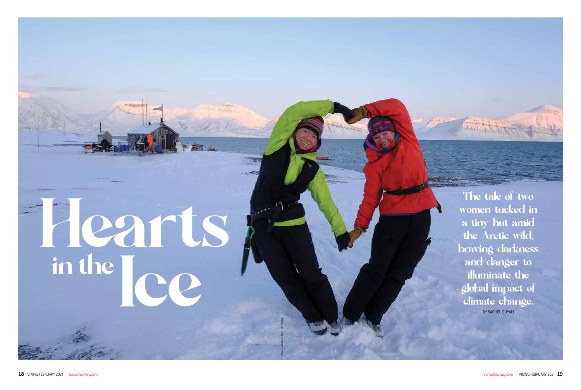BY RACHEL GUYAH

# Hearts

PHOTO COURTESY HEARTS IN THE ICE



The tale of two women tucked in a tiny hut amid the Arctic wild, **braving darkness** and danger to **illuminate the** global impact of climate change.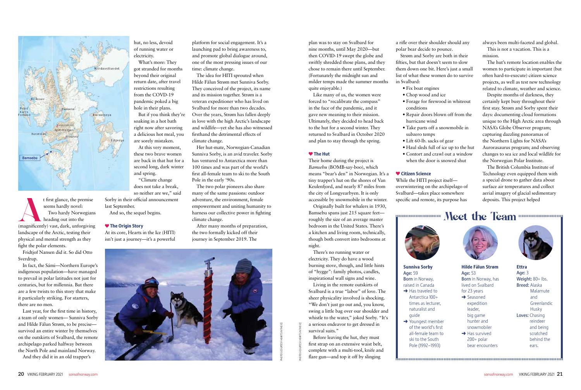

t first glance, the premise seems hardly novel: Two hardy Norwegians heading out into the (magnificently) vast, dark, unforgiving landscape of the Arctic, testing their physical and mental strength as they fight the polar elements.

Fridtjof Nansen did it. So did Otto Sverdrup.

In fact, the Sámi—Northern Europe's indigenous population—have managed to prevail in polar latitudes not just for centuries, but for millennia. But there are a few twists to this story that make it particularly striking. For starters, there are no men.

Last year, for the first time in history, a team of only women— Sunniva Sorby and Hilde Fålun Strøm, to be precise survived an entire winter by themselves on the outskirts of Svalbard, the remote archipelago parked halfway between the North Pole and mainland Norway.

And they did it in an old trapper's

hut, no less, devoid of running water or electricity.

What's more: They got stranded for months beyond their original return date, after travel restrictions resulting from the COVD-19 pandemic poked a big hole in their plans.

But if you think they're soaking in a hot bath right now after savoring a delicious hot meal, you are sorely mistaken.

At this very moment, these two brave women are back in that hut for a second long, dark winter and spring.

"Climate change does not take a break, so neither are we," said

Sorby in their official announcement last September.

And so, the sequel begins.

### **V** The Origin Story

At its core, Hearts in the Ice (HITI) isn't just a journey—it's a powerful platform for social engagement. It's a launching pad to bring awareness to, and promote global dialogue around, one of the most pressing issues of our time: climate change.

The idea for HITI sprouted when Hilde Fålun Strøm met Sunniva Sorby. They conceived of the project, its name and its mission together. Strøm is a veteran expeditioner who has lived on Svalbard for more than two decades. Over the years, Strøm has fallen deeply in love with the high Arctic's landscape and wildlife—yet she has also witnessed firsthand the detrimental effects of climate change.

Her hut-mate, Norwegian-Canadian Sunniva Sorby, is an avid traveler. Sorby has ventured to Antarctica more than 100 times and was part of the world's first all-female team to ski to the South Pole in the early '90s.

The two polar pioneers also share many of the same passions: outdoor adventure, the environment, female empowerment and uniting humanity to harness our collective power in fighting climate change.

After many months of preparation, the two formally kicked off their journey in September 2019. The

plan was to stay on Svalbard for nine months, until May 2020—but then COVID-19 swept the globe and swiftly shredded those plans, and they chose to remain there until September. (Fortunately the midnight sun and milder temps made the summer months quite enjoyable.)

Like many of us, the women were forced to "recalibrate the compass" in the face of the pandemic, and it gave new meaning to their mission. Ultimately, they decided to head back to the hut for a second winter. They returned to Svalbard in October 2020 and plan to stay through the spring.

## **♥ The Hut**

Their home during the project is *Bamsebu* (BOMB-say-boo), which means "bear's den" in Norwegian. It's a tiny trapper's hut on the shores of Van Keulenfjord, and nearly 87 miles from the city of Longyearbyen. It is only accessible by snowmobile in the winter.

Originally built for whalers in 1930, Bamsebu spans just 215 square feet roughly the size of an average master bedroom in the United States. There's a kitchen and living room, technically, though both convert into bedrooms at night.

There's no running water or electricity. They do have a wood burning stove, though, and little hints of "hygge": family photos, candles, inspirational wall signs and wine.

Living in the remote outskirts of Svalbard is a true "labor" of love. The sheer physicality involved is shocking. "We don't just go out and, you know, swing a little bag over our shoulder and whistle to the water," joked Sorby. "It's a serious endeavor to get dressed in survival suits."

Before leaving the hut, they must first strap on an extensive waist belt, complete with a multi-tool, knife and flare gun—and top it off by slinging

a rifle over their shoulder should any polar bear decide to pounce.

Strøm and Sorby are both in their fifties, but that doesn't seem to slow them down one bit. Here's just a small list of what these women do to survive in Svalbard:

- Fix boat engines
- Chop wood and ice
- Forage for firewood in whiteout conditions
- Repair doors blown off from the hurricane wind
- Take parts off a snowmobile in subzero temps
- Lift 60-lb. sacks of gear
- Haul sleds full of ice up to the hut
- Contort and crawl out a window when the door is snowed shut

### **♥** Citizen Science

While the HITI project itself overwintering on the archipelago of Svalbard—takes place somewhere specific and remote, its purpose has



always been multi-faceted and global. This is not a vacation. This is a mission.

The hut's remote location enables the women to participate in important (but often hard-to-execute) citizen science projects, as well as test new technology related to climate, weather and science.

Despite months of darkness, they certainly kept busy throughout their first stay. Strøm and Sorby spent their days: documenting cloud formations unique to the High Arctic area through NASA's Globe Observer program; capturing dazzling panoramas of the Northern Lights for NASA's Aurorasaurus program; and observing changes to sea ice and local wildlife for the Norwegian Polar Institute.

The British Columbia Institute of Technology even equipped them with a special drone to gather data about surface air temperatures and collect aerial imagery of glacial sedimentary deposits. This project helped

# 



# Sunniva Sorby Age: 59

- Born in Norway, raised in Canada  $\rightarrow$  Has traveled to Antarctica 100+ times as lecturer, naturalist and guide
- **→ Youngest member** of the world's first all-female team to ski to the South Pole (1992–1993)

Hilde Fålun Strøm Age: 53 Born in Norway, has lived on Svalbard for 23 years **→ Seasoned** expedition leader, big game hunter and snowmobiler  $\rightarrow$  Has survived 200+ polar

bear encounters



Ettra Age: 3 Weight: 80+ lbs. Breed: Alaska Malamute and Greenlandic Husky Loves: Chasing reindeer and being scratched behind the ears.



PHOTOS COURTESY HEARTS IN THE ICE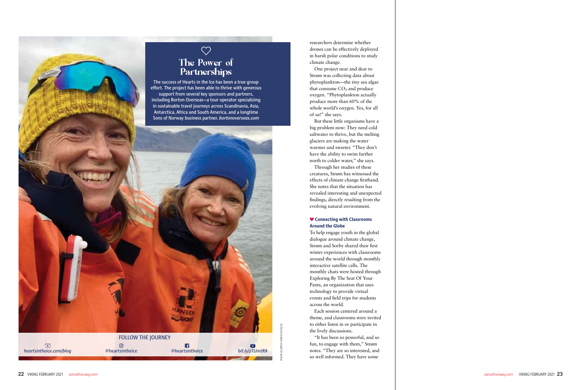researchers determine whether drones can be effectively deployed in harsh polar conditions to study climate change.

One project near and dear to Strøm was collecting data about phytoplankton—the tiny sea algae that consume  $CO<sub>2</sub>$  and produce oxygen. "Phytoplankton actually produce more than 60% of the whole world's oxygen. Yes, for all of us!" she says.

But these little organisms have a big problem now: They need cold saltwater to thrive, but the melting glaciers are making the water warmer and sweeter. "They don't have the ability to swim further north to colder water," she says.

Through her studies of these creatures, Strøm has witnessed the effects of climate change firsthand. She notes that the situation has revealed interesting and unexpected findings, directly resulting from the evolving natural environment.

# Connecting with Classrooms Around the Globe

To help engage youth in the global dialogue around climate change, Strøm and Sorby shared their first winter experiences with classrooms around the world through monthly interactive satellite calls. The monthly chats were hosted through Exploring By The Seat Of Your Pants, an organization that uses technology to provide virtual events and field trips for students across the world.

Each session centered around a theme, and classrooms were invited to either listen in or participate in the lively discussions.

"It has been so powerful, and so fun, to engage with them," Strøm notes. "They are so interested, and so well informed. They have some